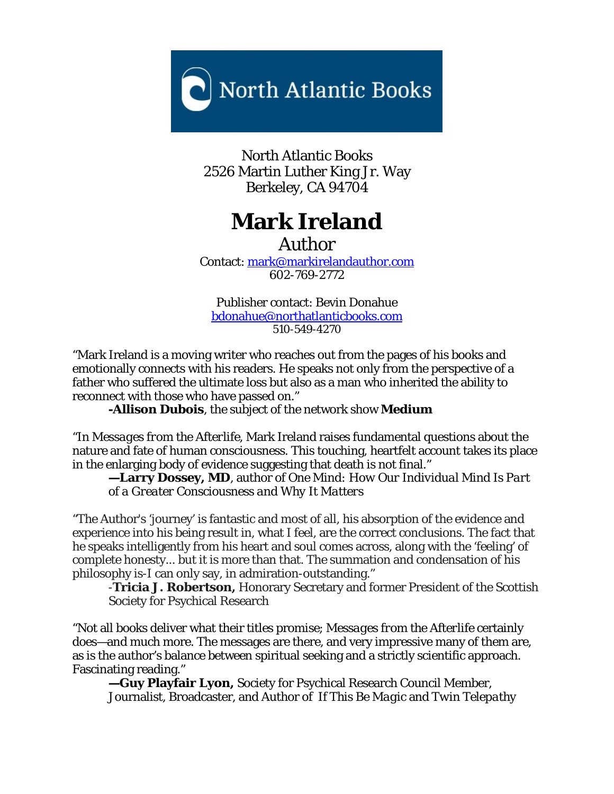

North Atlantic Books 2526 Martin Luther King Jr. Way Berkeley, CA 94704

# **Mark Ireland**

Author

Contact: [mark@markirelandauthor.com](mailto:mark@markirelandauthor.com) 602-769-2772

Publisher contact: Bevin Donahue [bdonahue@northatlanticbooks.com](mailto:bdonahue@northatlanticbooks.com) 510-549-4270

"Mark Ireland is a moving writer who reaches out from the pages of his books and emotionally connects with his readers. He speaks not only from the perspective of a father who suffered the ultimate loss but also as a man who inherited the ability to reconnect with those who have passed on."

**-[Allison Dubois](http://allisondubois.com/)**, the subject of the network show **[Medium](http://www.nbc.com/Medium/)**

"In *Messages from the Afterlife*, Mark Ireland raises fundamental questions about the nature and fate of human consciousness. This touching, heartfelt account takes its place in the enlarging body of evidence suggesting that death is not final."

**—Larry Dossey, MD**, author of *One Mind: How Our Individual Mind Is Part of a Greater Consciousness and Why It Matters*

"The Author's 'journey' is fantastic and most of all, his absorption of the evidence and experience into his being result in, what I feel, are the correct conclusions. The fact that he speaks intelligently from his heart and soul comes across, along with the 'feeling' of complete honesty... but it is more than that. The summation and condensation of his philosophy is-I can only say, in admiration-outstanding."

-**Tricia J. Robertson,** Honorary Secretary and former President of the Scottish Society for Psychical Research

"Not all books deliver what their titles promise; *Messages from the Afterlife* certainly does—and much more. The messages are there, and very impressive many of them are, as is the author's balance between spiritual seeking and a strictly scientific approach. Fascinating reading."

**—Guy Playfair Lyon,** Society for Psychical Research Council Member, Journalist, Broadcaster, and Author of *If This Be Magic* and *Twin Telepathy*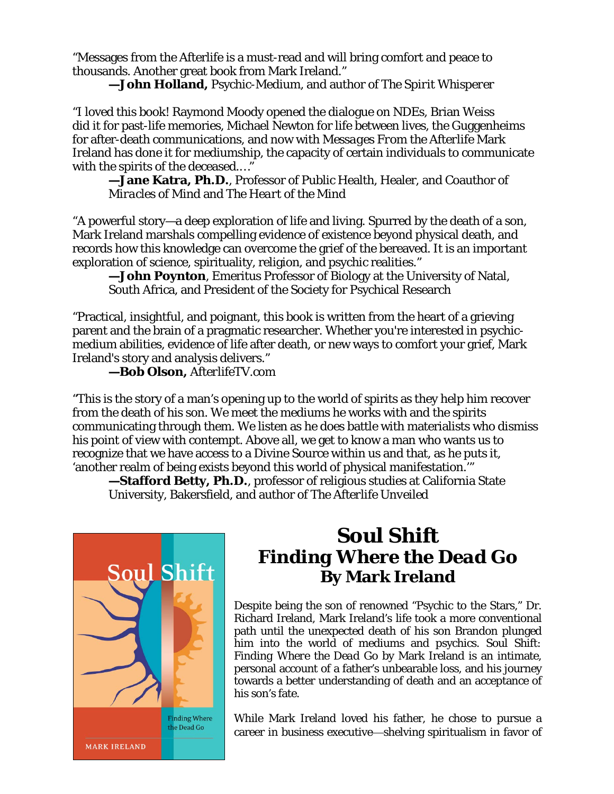"Messages from the Afterlife is a must-read and will bring comfort and peace to thousands. Another great book from Mark Ireland."

**—John Holland,** Psychic-Medium, and author of *The Spirit Whisperer*

"I loved this book! Raymond Moody opened the dialogue on NDEs, Brian Weiss did it for past-life memories, Michael Newton for life between lives, the Guggenheims for after-death communications, and now with *Messages From the Afterlife* Mark Ireland has done it for mediumship, the capacity of certain individuals to communicate with the spirits of the deceased.…"

**—Jane Katra, Ph.D.**, Professor of Public Health, Healer, and Coauthor of *Miracles of Mind* and *The Heart of the Mind*

"A powerful story—a deep exploration of life and living. Spurred by the death of a son, Mark Ireland marshals compelling evidence of existence beyond physical death, and records how this knowledge can overcome the grief of the bereaved. It is an important exploration of science, spirituality, religion, and psychic realities."

**—John Poynton**, Emeritus Professor of Biology at the University of Natal, South Africa, and President of the Society for Psychical Research

"Practical, insightful, and poignant, this book is written from the heart of a grieving parent and the brain of a pragmatic researcher. Whether you're interested in psychicmedium abilities, evidence of life after death, or new ways to comfort your grief, Mark Ireland's story and analysis delivers."

**—Bob Olson,** *AfterlifeTV.com*

"This is the story of a man's opening up to the world of spirits as they help him recover from the death of his son. We meet the mediums he works with and the spirits communicating through them. We listen as he does battle with materialists who dismiss his point of view with contempt. Above all, we get to know a man who wants us to recognize that we have access to a Divine Source within us and that, as he puts it, 'another realm of being exists beyond this world of physical manifestation.'"

**—Stafford Betty, Ph.D.**, professor of religious studies at California State University, Bakersfield, and author of *The Afterlife Unveiled*



# *Soul Shift Finding Where the Dead Go* **By Mark Ireland**

Despite being the son of renowned "Psychic to the Stars," Dr. Richard Ireland, Mark Ireland's life took a more conventional path until the unexpected death of his son Brandon plunged him into the world of mediums and psychics. *Soul Shift: Finding Where the Dead Go* by Mark Ireland is an intimate, personal account of a father's unbearable loss, and his journey towards a better understanding of death and an acceptance of his son's fate.

While Mark Ireland loved his father, he chose to pursue a career in business executive—shelving spiritualism in favor of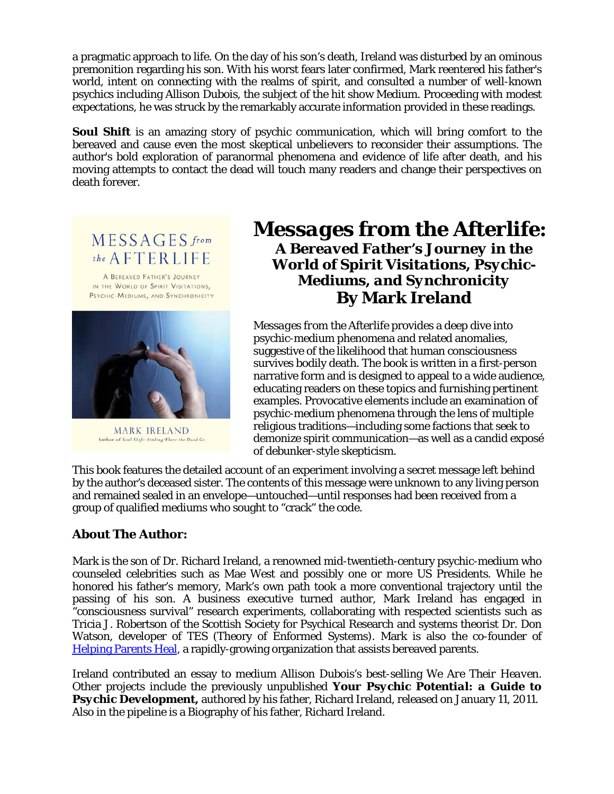a pragmatic approach to life. On the day of his son's death, Ireland was disturbed by an ominous premonition regarding his son. With his worst fears later confirmed, Mark reentered his father's world, intent on connecting with the realms of spirit, and consulted a number of well-known psychics including Allison Dubois, the subject of the hit show *Medium*. Proceeding with modest expectations, he was struck by the remarkably accurate information provided in these readings.

**Soul Shift** is an amazing story of psychic communication, which will bring comfort to the bereaved and cause even the most skeptical unbelievers to reconsider their assumptions. The author's bold exploration of paranormal phenomena and evidence of life after death, and his moving attempts to contact the dead will touch many readers and change their perspectives on death forever.

MESSAGES from the AFTERLIFE

A BEREAVED FATHER'S JOURNEY IN THE WORLD OF SPIRIT VISITATIONS, PSYCHIC-MEDIUMS, AND SYNCHRONICITY



**MARK IRELAND** Author of Soul Shift: Finding Where the Dead Go

## *Messages from the Afterlife: A Bereaved Father's Journey in the World of Spirit Visitations, Psychic-Mediums, and Synchronicity* **By Mark Ireland**

*Messages from the Afterlife* provides a deep dive into psychic-medium phenomena and related anomalies, suggestive of the likelihood that human consciousness survives bodily death. The book is written in a first-person narrative form and is designed to appeal to a wide audience, educating readers on these topics and furnishing pertinent examples. Provocative elements include an examination of psychic-medium phenomena through the lens of multiple religious traditions—including some factions that seek to demonize spirit communication—as well as a candid exposé of debunker-style skepticism.

This book features the detailed account of an experiment involving a secret message left behind by the author's deceased sister. The contents of this message were unknown to any living person and remained sealed in an envelope—untouched—until responses had been received from a group of qualified mediums who sought to "crack" the code.

#### **About The Author:**

Mark is the son of Dr. Richard Ireland, a renowned mid-twentieth-century psychic-medium who counseled celebrities such as Mae West and possibly one or more US Presidents. While he honored his father's memory, Mark's own path took a more conventional trajectory until the passing of his son. A business executive turned author, Mark Ireland has engaged in "consciousness survival" research experiments, collaborating with respected scientists such as Tricia J. Robertson of the Scottish Society for Psychical Research and systems theorist Dr. Don Watson, developer of TES (Theory of Enformed Systems). Mark is also the co-founder of [Helping Parents Heal,](https://www.helpingparentsheal.org/) a rapidly-growing organization that assists bereaved parents.

Ireland contributed an essay to medium Allison Dubois's best-selling *We Are Their Heaven*. Other projects include the previously unpublished *Your Psychic Potential: a Guide to*  **Psychic Development**, authored by his father, Richard Ireland, released on January 11, 2011. Also in the pipeline is a Biography of his father, Richard Ireland.